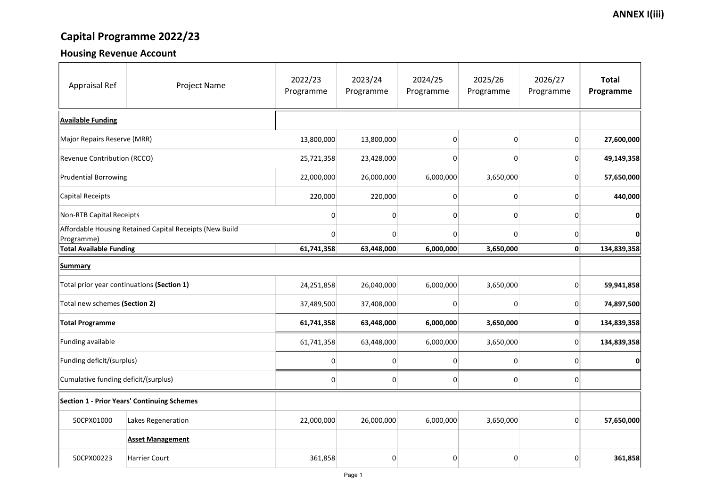# Capital Programme 2022/23

### Housing Revenue Account

| <b>Appraisal Ref</b>                                                  | <b>Project Name</b>                                | 2022/23<br>Programme | 2023/24<br>Programme | 2024/25<br>Programme | 2025/26<br>Programme | 2026/27<br>Programme | <b>Total</b><br>Programme |
|-----------------------------------------------------------------------|----------------------------------------------------|----------------------|----------------------|----------------------|----------------------|----------------------|---------------------------|
| <b>Available Funding</b>                                              |                                                    |                      |                      |                      |                      |                      |                           |
| Major Repairs Reserve (MRR)                                           |                                                    | 13,800,000           | 13,800,000           | 0                    | $\mathbf 0$          | 0                    | 27,600,000                |
| <b>Revenue Contribution (RCCO)</b>                                    |                                                    | 25,721,358           | 23,428,000           |                      | O                    | 0                    | 49,149,358                |
| <b>Prudential Borrowing</b>                                           |                                                    | 22,000,000           | 26,000,000           | 6,000,000            | 3,650,000            | 0                    | 57,650,000                |
| Capital Receipts                                                      |                                                    | 220,000              | 220,000              |                      | O                    | 0                    | 440,000                   |
| <b>Non-RTB Capital Receipts</b>                                       |                                                    |                      |                      |                      | O                    |                      | $\mathbf{0}$              |
| Affordable Housing Retained Capital Receipts (New Build<br>Programme) |                                                    | O                    | 0                    |                      | O                    | 0                    | $\mathbf{0}$              |
| <b>Total Available Funding</b>                                        |                                                    | 61,741,358           | 63,448,000           | 6,000,000            | 3,650,000            | 0                    | 134,839,358               |
| <b>Summary</b>                                                        |                                                    |                      |                      |                      |                      |                      |                           |
| Total prior year continuations (Section 1)                            |                                                    | 24,251,858           | 26,040,000           | 6,000,000            | 3,650,000            | 01                   | 59,941,858                |
| Total new schemes (Section 2)                                         |                                                    | 37,489,500           | 37,408,000           |                      | 0                    | $\overline{0}$       | 74,897,500                |
| <b>Total Programme</b>                                                |                                                    | 61,741,358           | 63,448,000           | 6,000,000            | 3,650,000            | 0                    | 134,839,358               |
| Funding available                                                     |                                                    | 61,741,358           | 63,448,000           | 6,000,000            | 3,650,000            | 0                    | 134,839,358               |
| Funding deficit/(surplus)                                             |                                                    |                      | 0                    |                      | $\mathbf 0$          | 0                    | $\mathbf{0}$              |
| Cumulative funding deficit/(surplus)                                  |                                                    | 0                    | 0                    |                      | 0                    | 0                    |                           |
|                                                                       | <b>Section 1 - Prior Years' Continuing Schemes</b> |                      |                      |                      |                      |                      |                           |
| 50CPX01000                                                            | Lakes Regeneration                                 | 22,000,000           | 26,000,000           | 6,000,000            | 3,650,000            | 0                    | 57,650,000                |
|                                                                       | <b>Asset Management</b>                            |                      |                      |                      |                      |                      |                           |
| 50CPX00223                                                            | <b>Harrier Court</b>                               | 361,858              | 0                    |                      | 0                    | $\overline{0}$       | 361,858                   |

### **ANNEX I(iii)**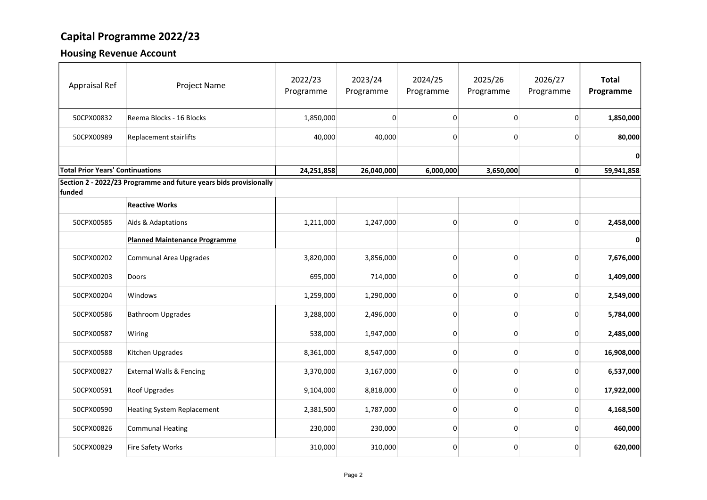## Capital Programme 2022/23

#### Housing Revenue Account

| <b>Appraisal Ref</b>                    | <b>Project Name</b>                                               | 2022/23<br>Programme | 2023/24<br>Programme | 2024/25<br>Programme | 2025/26<br>Programme | 2026/27<br>Programme | <b>Total</b><br>Programme |
|-----------------------------------------|-------------------------------------------------------------------|----------------------|----------------------|----------------------|----------------------|----------------------|---------------------------|
| 50CPX00832                              | Reema Blocks - 16 Blocks                                          | 1,850,000            | 0                    | 0                    | $\mathbf 0$          | 0                    | 1,850,000                 |
| 50CPX00989                              | Replacement stairlifts                                            | 40,000               | 40,000               |                      | $\mathbf{0}$         | 0                    | 80,000                    |
|                                         |                                                                   |                      |                      |                      |                      |                      | 0                         |
| <b>Total Prior Years' Continuations</b> |                                                                   | 24,251,858           | 26,040,000           | 6,000,000            | 3,650,000            | 0                    | 59,941,858                |
| funded                                  | Section 2 - 2022/23 Programme and future years bids provisionally |                      |                      |                      |                      |                      |                           |
|                                         | <b>Reactive Works</b>                                             |                      |                      |                      |                      |                      |                           |
| 50CPX00585                              | Aids & Adaptations                                                | 1,211,000            | 1,247,000            |                      | $\Omega$             | 0                    | 2,458,000                 |
|                                         | <b>Planned Maintenance Programme</b>                              |                      |                      |                      |                      |                      | 0                         |
| 50CPX00202                              | <b>Communal Area Upgrades</b>                                     | 3,820,000            | 3,856,000            |                      | $\mathbf{0}$         | 0                    | 7,676,000                 |
| 50CPX00203                              | <b>Doors</b>                                                      | 695,000              | 714,000              | 0                    | $\mathbf{0}$         | 0                    | 1,409,000                 |
| 50CPX00204                              | Windows                                                           | 1,259,000            | 1,290,000            | 0                    | $\mathbf 0$          | 0                    | 2,549,000                 |
| 50CPX00586                              | <b>Bathroom Upgrades</b>                                          | 3,288,000            | 2,496,000            | 0                    | $\mathbf 0$          | 0                    | 5,784,000                 |
| 50CPX00587                              | <b>Wiring</b>                                                     | 538,000              | 1,947,000            | 0                    | $\mathbf 0$          | $\overline{0}$       | 2,485,000                 |
| 50CPX00588                              | Kitchen Upgrades                                                  | 8,361,000            | 8,547,000            | 0                    | $\overline{0}$       | 0                    | 16,908,000                |
| 50CPX00827                              | <b>External Walls &amp; Fencing</b>                               | 3,370,000            | 3,167,000            | 0                    | $\overline{0}$       | 0                    | 6,537,000                 |
| 50CPX00591                              | Roof Upgrades                                                     | 9,104,000            | 8,818,000            |                      | $\mathbf 0$          | 0                    | 17,922,000                |
| 50CPX00590                              | <b>Heating System Replacement</b>                                 | 2,381,500            | 1,787,000            | 0                    | $\overline{0}$       | 0                    | 4,168,500                 |
| 50CPX00826                              | Communal Heating                                                  | 230,000              | 230,000              | 0                    | $\mathbf 0$          | 0                    | 460,000                   |
| 50CPX00829                              | <b>Fire Safety Works</b>                                          | 310,000              | 310,000              |                      | $\mathbf 0$          | 0                    | 620,000                   |